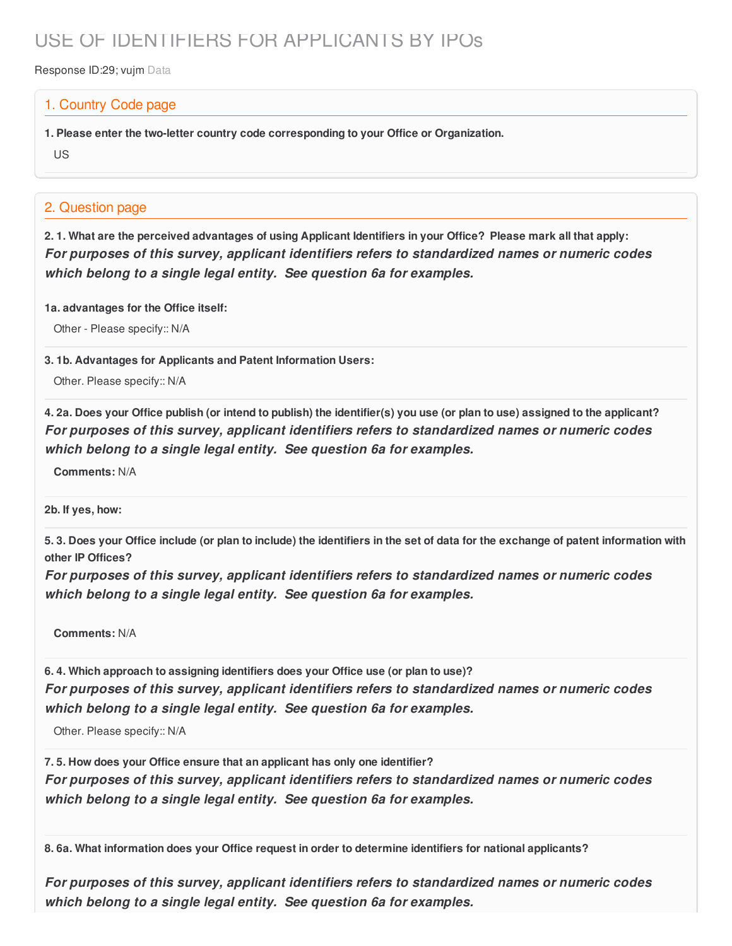## USE OF IDENTIFIERS FOR APPLICANTS BY IPOs

Response ID:29; vujm Data

## 1. Country Code page

**1. Please enter the two-letter country code corresponding to your Office or Organization.**

US

## 2. Question page

2.1. What are the perceived advantages of using Applicant Identifiers in your Office? Please mark all that apply: *For purposes of this survey, applicant identifiers refers to standardized names or numeric codes which belong to a single legal entity. See question 6a for examples.*

**1a. advantages for the Office itself:**

Other - Please specify:: N/A

**3. 1b. Advantages for Applicants and Patent Information Users:**

Other. Please specify:: N/A

4. 2a. Does your Office publish (or intend to publish) the identifier(s) you use (or plan to use) assigned to the applicant? *For purposes of this survey, applicant identifiers refers to standardized names or numeric codes which belong to a single legal entity. See question 6a for examples.*

**Comments:** N/A

**2b. If yes, how:**

5.3. Does your Office include (or plan to include) the identifiers in the set of data for the exchange of patent information with **other IP Offices?**

*For purposes of this survey, applicant identifiers refers to standardized names or numeric codes which belong to a single legal entity. See question 6a for examples.*

**Comments:** N/A

**6. 4. Which approach to assigning identifiers does your Office use (or plan to use)?** *For purposes of this survey, applicant identifiers refers to standardized names or numeric codes which belong to a single legal entity. See question 6a for examples.*

Other. Please specify:: N/A

**7. 5. How does your Office ensure that an applicant has only one identifier?** *For purposes of this survey, applicant identifiers refers to standardized names or numeric codes which belong to a single legal entity. See question 6a for examples.*

**8. 6a. What information does your Office request in order to determine identifiers for national applicants?**

*For purposes of this survey, applicant identifiers refers to standardized names or numeric codes which belong to a single legal entity. See question 6a for examples.*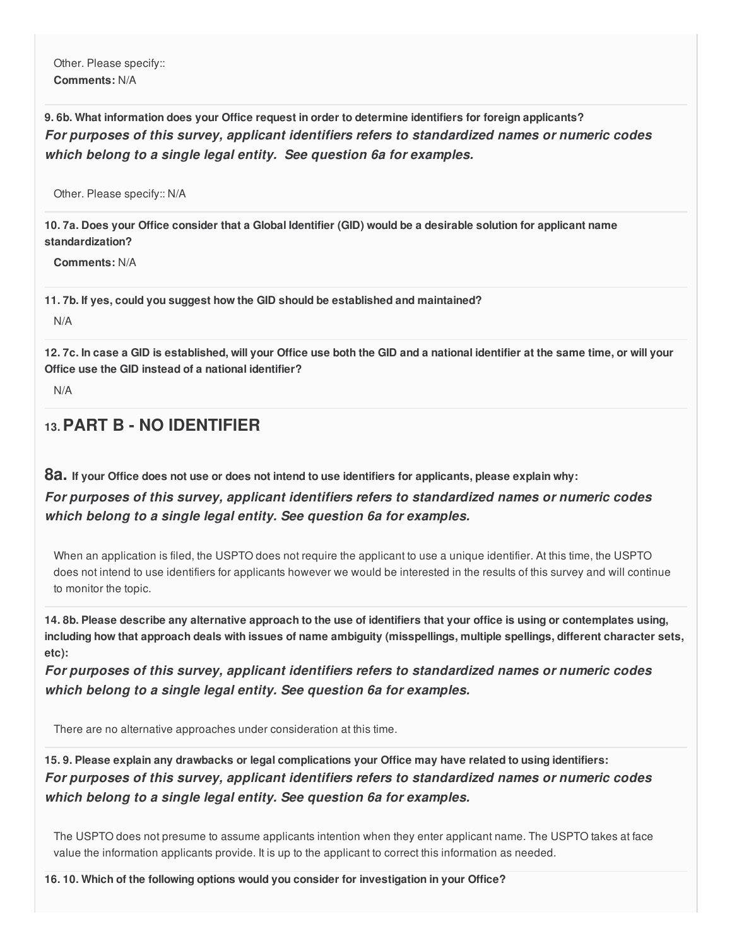Other. Please specify:: **Comments:** N/A

**9. 6b. What information does your Office request in order to determine identifiers for foreign applicants?** *For purposes of this survey, applicant identifiers refers to standardized names or numeric codes which belong to a single legal entity. See question 6a for examples.*

Other. Please specify:: N/A

10.7a. Does your Office consider that a Global Identifier (GID) would be a desirable solution for applicant name **standardization?**

**Comments:** N/A

**11. 7b. If yes, could you suggest how the GID should be established and maintained?**

N/A

12.7c. In case a GID is established, will your Office use both the GID and a national identifier at the same time, or will your **Office use the GID instead of a national identifier?**

N/A

## **13.PART B - NO IDENTIFIER**

8a. If your Office does not use or does not intend to use identifiers for applicants, please explain why:

*For purposes of this survey, applicant identifiers refers to standardized names or numeric codes which belong to a single legal entity. See question 6a for examples.*

When an application is filed, the USPTO does not require the applicant to use a unique identifier. At this time, the USPTO does not intend to use identifiers for applicants however we would be interested in the results of this survey and will continue to monitor the topic.

14.8b. Please describe any alternative approach to the use of identifiers that your office is using or contemplates using, including how that approach deals with issues of name ambiguity (misspellings, multiple spellings, different character sets, **etc):**

*For purposes of this survey, applicant identifiers refers to standardized names or numeric codes which belong to a single legal entity. See question 6a for examples.*

There are no alternative approaches under consideration at this time.

15.9. Please explain any drawbacks or legal complications your Office may have related to using identifiers: *For purposes of this survey, applicant identifiers refers to standardized names or numeric codes which belong to a single legal entity. See question 6a for examples.*

The USPTO does not presume to assume applicants intention when they enter applicant name. The USPTO takes at face value the information applicants provide. It is up to the applicant to correct this information as needed.

**16. 10. Which of the following options would you consider for investigation in your Office?**